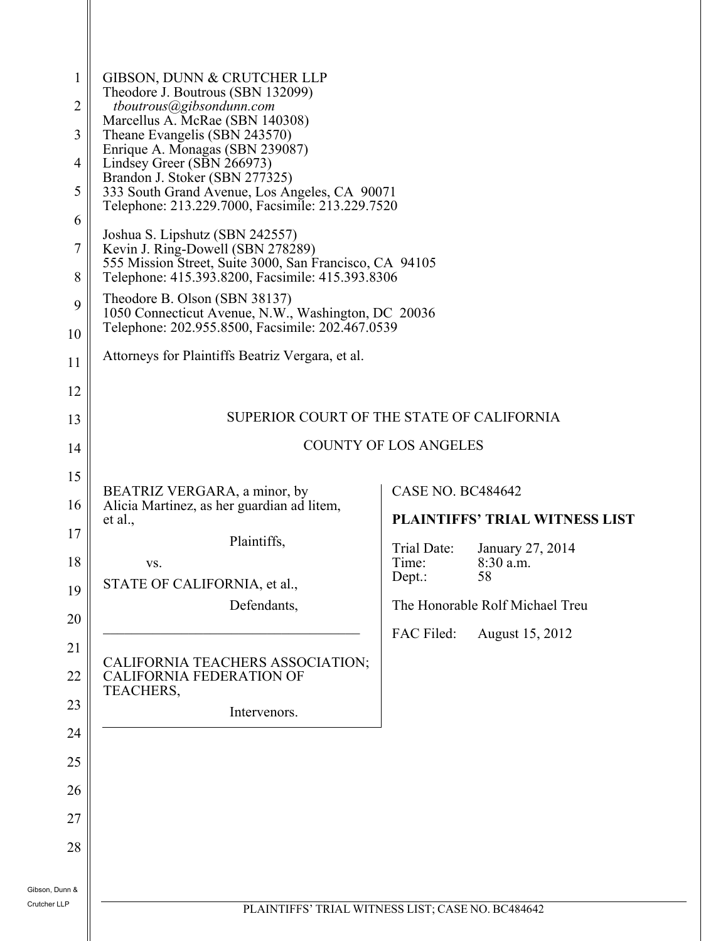| $\mathbf{1}$<br>2<br>3<br>$\overline{4}$<br>5<br>6<br>7<br>8<br>9<br>10 | GIBSON, DUNN & CRUTCHER LLP<br>Theodore J. Boutrous (SBN 132099)<br>tboutrous@gibsondunn.com<br>Marcellus A. McRae (SBN 140308)<br>Theane Evangelis (SBN 243570)<br>Enrique A. Monagas (SBN 239087)<br>Lindsey Greer (SBN 266973)<br>Brandon J. Stoker (SBN 277325)<br>333 South Grand Avenue, Los Angeles, CA 90071<br>Telephone: 213.229.7000, Facsimile: 213.229.7520<br>Joshua S. Lipshutz (SBN 242557)<br>Kevin J. Ring-Dowell (SBN 278289)<br>555 Mission Street, Suite 3000, San Francisco, CA 94105<br>Telephone: 415.393.8200, Facsimile: 415.393.8306<br>Theodore B. Olson (SBN 38137)<br>1050 Connecticut Avenue, N.W., Washington, DC 20036<br>Telephone: 202.955.8500, Facsimile: 202.467.0539 |                                           |                                       |  |  |  |
|-------------------------------------------------------------------------|-------------------------------------------------------------------------------------------------------------------------------------------------------------------------------------------------------------------------------------------------------------------------------------------------------------------------------------------------------------------------------------------------------------------------------------------------------------------------------------------------------------------------------------------------------------------------------------------------------------------------------------------------------------------------------------------------------------|-------------------------------------------|---------------------------------------|--|--|--|
| 11                                                                      | Attorneys for Plaintiffs Beatriz Vergara, et al.                                                                                                                                                                                                                                                                                                                                                                                                                                                                                                                                                                                                                                                            |                                           |                                       |  |  |  |
| 12                                                                      |                                                                                                                                                                                                                                                                                                                                                                                                                                                                                                                                                                                                                                                                                                             |                                           |                                       |  |  |  |
| 13                                                                      |                                                                                                                                                                                                                                                                                                                                                                                                                                                                                                                                                                                                                                                                                                             | SUPERIOR COURT OF THE STATE OF CALIFORNIA |                                       |  |  |  |
| 14                                                                      | <b>COUNTY OF LOS ANGELES</b>                                                                                                                                                                                                                                                                                                                                                                                                                                                                                                                                                                                                                                                                                |                                           |                                       |  |  |  |
| 15                                                                      |                                                                                                                                                                                                                                                                                                                                                                                                                                                                                                                                                                                                                                                                                                             |                                           |                                       |  |  |  |
| 16                                                                      | BEATRIZ VERGARA, a minor, by<br>Alicia Martinez, as her guardian ad litem,                                                                                                                                                                                                                                                                                                                                                                                                                                                                                                                                                                                                                                  | <b>CASE NO. BC484642</b>                  |                                       |  |  |  |
| 17                                                                      | et al.,<br>Plaintiffs,                                                                                                                                                                                                                                                                                                                                                                                                                                                                                                                                                                                                                                                                                      |                                           | <b>PLAINTIFFS' TRIAL WITNESS LIST</b> |  |  |  |
| 18                                                                      | VS.                                                                                                                                                                                                                                                                                                                                                                                                                                                                                                                                                                                                                                                                                                         | Trial Date:<br>Time:                      | January 27, 2014<br>8:30 a.m.         |  |  |  |
| 19                                                                      | STATE OF CALIFORNIA, et al.,                                                                                                                                                                                                                                                                                                                                                                                                                                                                                                                                                                                                                                                                                | Depth:                                    | 58                                    |  |  |  |
| 20                                                                      | Defendants,                                                                                                                                                                                                                                                                                                                                                                                                                                                                                                                                                                                                                                                                                                 |                                           | The Honorable Rolf Michael Treu       |  |  |  |
| 21                                                                      |                                                                                                                                                                                                                                                                                                                                                                                                                                                                                                                                                                                                                                                                                                             | FAC Filed:                                | August 15, 2012                       |  |  |  |
| 22                                                                      | CALIFORNIA TEACHERS ASSOCIATION;<br><b>CALIFORNIA FEDERATION OF</b><br>TEACHERS,                                                                                                                                                                                                                                                                                                                                                                                                                                                                                                                                                                                                                            |                                           |                                       |  |  |  |
| 23                                                                      | Intervenors.                                                                                                                                                                                                                                                                                                                                                                                                                                                                                                                                                                                                                                                                                                |                                           |                                       |  |  |  |
| 24                                                                      |                                                                                                                                                                                                                                                                                                                                                                                                                                                                                                                                                                                                                                                                                                             |                                           |                                       |  |  |  |
| 25                                                                      |                                                                                                                                                                                                                                                                                                                                                                                                                                                                                                                                                                                                                                                                                                             |                                           |                                       |  |  |  |
| 26                                                                      |                                                                                                                                                                                                                                                                                                                                                                                                                                                                                                                                                                                                                                                                                                             |                                           |                                       |  |  |  |
| 27                                                                      |                                                                                                                                                                                                                                                                                                                                                                                                                                                                                                                                                                                                                                                                                                             |                                           |                                       |  |  |  |
| 28                                                                      |                                                                                                                                                                                                                                                                                                                                                                                                                                                                                                                                                                                                                                                                                                             |                                           |                                       |  |  |  |
| Gibson, Dunn &<br>Crutcher LLP                                          | PLAINTIFFS' TRIAL WITNESS LIST; CASE NO. BC484642                                                                                                                                                                                                                                                                                                                                                                                                                                                                                                                                                                                                                                                           |                                           |                                       |  |  |  |
|                                                                         |                                                                                                                                                                                                                                                                                                                                                                                                                                                                                                                                                                                                                                                                                                             |                                           |                                       |  |  |  |

 $\parallel$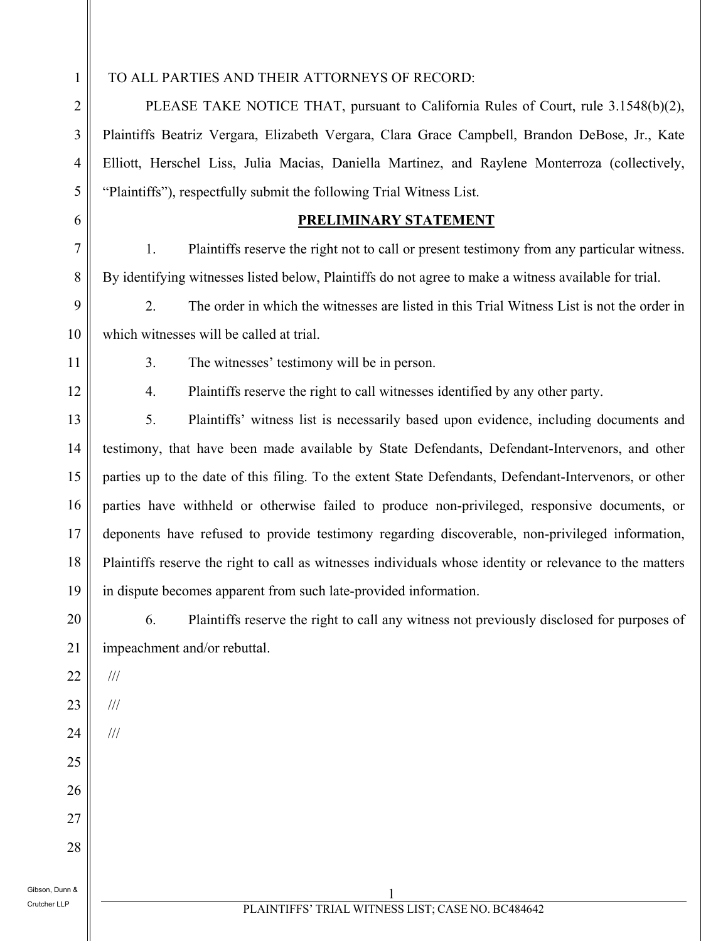1 2

3

4

5

6

7

8

## TO ALL PARTIES AND THEIR ATTORNEYS OF RECORD:

PLEASE TAKE NOTICE THAT, pursuant to California Rules of Court, rule 3.1548(b)(2), Plaintiffs Beatriz Vergara, Elizabeth Vergara, Clara Grace Campbell, Brandon DeBose, Jr., Kate Elliott, Herschel Liss, Julia Macias, Daniella Martinez, and Raylene Monterroza (collectively, "Plaintiffs"), respectfully submit the following Trial Witness List.

## **PRELIMINARY STATEMENT**

1. Plaintiffs reserve the right not to call or present testimony from any particular witness. By identifying witnesses listed below, Plaintiffs do not agree to make a witness available for trial.

9 2. The order in which the witnesses are listed in this Trial Witness List is not the order in which witnesses will be called at trial.

11

10

12

3. The witnesses' testimony will be in person.

4. Plaintiffs reserve the right to call witnesses identified by any other party.

13 14 15 16 17 18 19 5. Plaintiffs' witness list is necessarily based upon evidence, including documents and testimony, that have been made available by State Defendants, Defendant-Intervenors, and other parties up to the date of this filing. To the extent State Defendants, Defendant-Intervenors, or other parties have withheld or otherwise failed to produce non-privileged, responsive documents, or deponents have refused to provide testimony regarding discoverable, non-privileged information, Plaintiffs reserve the right to call as witnesses individuals whose identity or relevance to the matters in dispute becomes apparent from such late-provided information.

20

21

25

26

27

28

6. Plaintiffs reserve the right to call any witness not previously disclosed for purposes of impeachment and/or rebuttal.

- 22 ///
- 23

///

24 ///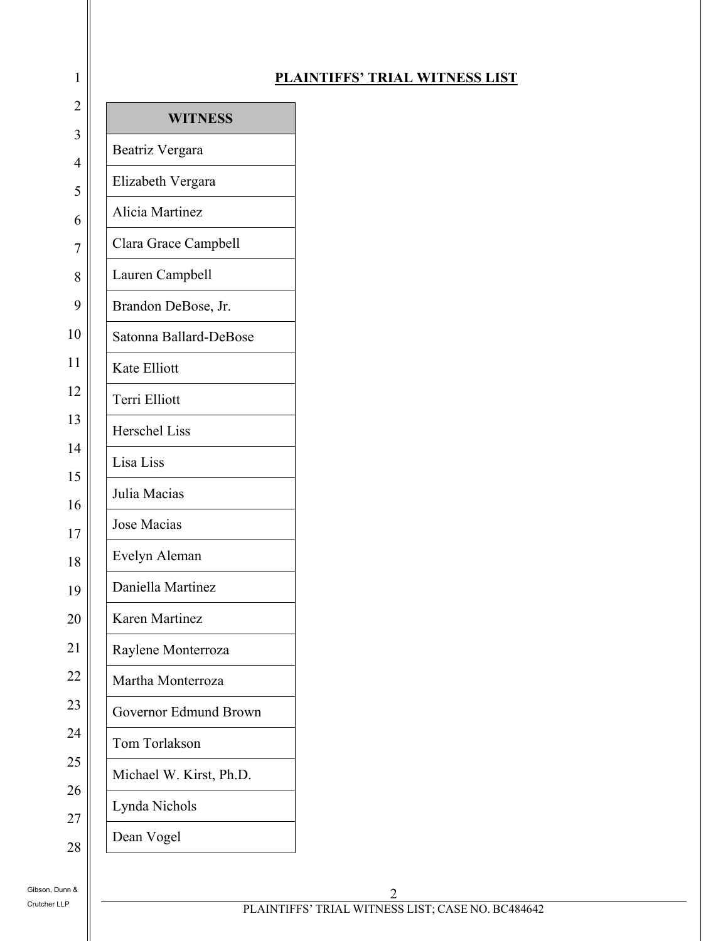| $\mathbf{1}$            |                         | P <sub>1</sub> |
|-------------------------|-------------------------|----------------|
| $\overline{c}$          | <b>WITNESS</b>          |                |
| $\overline{\mathbf{3}}$ | Beatriz Vergara         |                |
| $\overline{4}$<br>5     | Elizabeth Vergara       |                |
| 6                       | Alicia Martinez         |                |
| $\overline{7}$          | Clara Grace Campbell    |                |
| 8                       | Lauren Campbell         |                |
| 9                       | Brandon DeBose, Jr.     |                |
| 10                      | Satonna Ballard-DeBose  |                |
| 11                      | Kate Elliott            |                |
| 12                      | Terri Elliott           |                |
| 13                      | <b>Herschel Liss</b>    |                |
| 14                      | Lisa Liss               |                |
| 15<br>16                | Julia Macias            |                |
| 17                      | Jose Macias             |                |
| 18                      | Evelyn Aleman           |                |
| 19                      | Daniella Martinez       |                |
| 20                      | <b>Karen Martinez</b>   |                |
| 21                      | Raylene Monterroza      |                |
| 22                      | Martha Monterroza       |                |
| 23                      | Governor Edmund Brown   |                |
| 24                      | Tom Torlakson           |                |
| 25                      | Michael W. Kirst, Ph.D. |                |
| 26                      | Lynda Nichols           |                |
| 27<br>28                | Dean Vogel              |                |
|                         |                         |                |

## **PLAINTIFFS' TRIAL WITNESS LIST**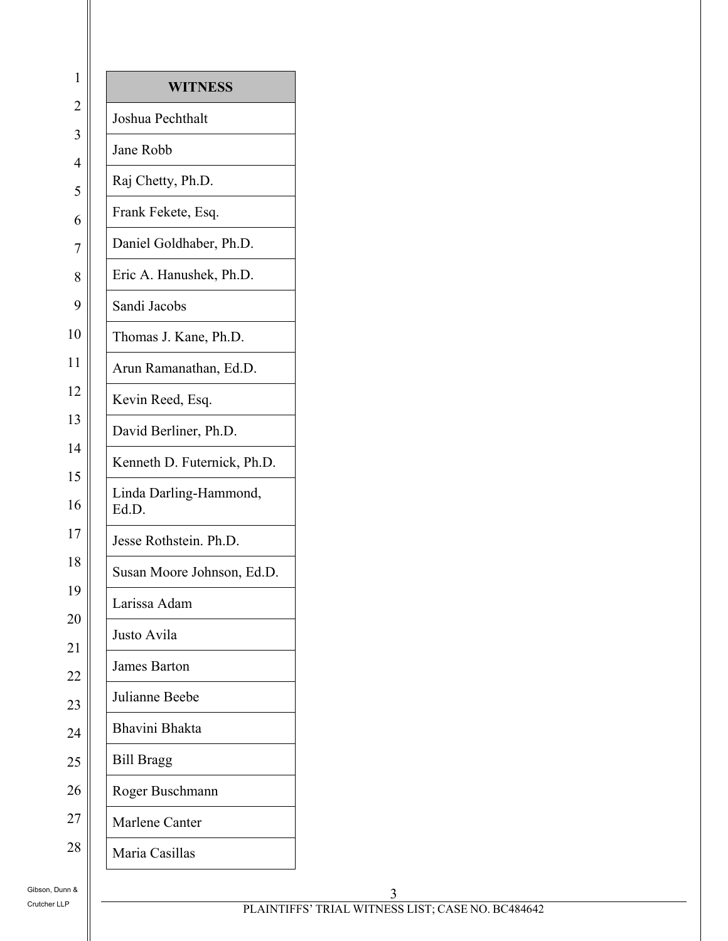| $\mathbf{1}$        | <b>WITNESS</b>                  |  |  |
|---------------------|---------------------------------|--|--|
| $\overline{c}$      | Joshua Pechthalt                |  |  |
| 3                   | Jane Robb                       |  |  |
| $\overline{4}$<br>5 | Raj Chetty, Ph.D.               |  |  |
| 6                   | Frank Fekete, Esq.              |  |  |
| $\overline{7}$      | Daniel Goldhaber, Ph.D.         |  |  |
| 8                   | Eric A. Hanushek, Ph.D.         |  |  |
| 9                   | Sandi Jacobs                    |  |  |
| 10                  | Thomas J. Kane, Ph.D.           |  |  |
| 11                  | Arun Ramanathan, Ed.D.          |  |  |
| 12                  | Kevin Reed, Esq.                |  |  |
| 13                  | David Berliner, Ph.D.           |  |  |
| 14                  | Kenneth D. Futernick, Ph.D.     |  |  |
| 15                  |                                 |  |  |
| 16                  | Linda Darling-Hammond,<br>Ed.D. |  |  |
| 17                  | Jesse Rothstein. Ph.D.          |  |  |
| 18                  | Susan Moore Johnson, Ed.D.      |  |  |
| 19                  | Larissa Adam                    |  |  |
| 20                  | Justo Avila                     |  |  |
| 21                  | James Barton                    |  |  |
| 22                  | Julianne Beebe                  |  |  |
| 23<br>24            | Bhavini Bhakta                  |  |  |
| 25                  | <b>Bill Bragg</b>               |  |  |
| 26                  |                                 |  |  |
|                     | Roger Buschmann                 |  |  |
| 27                  | Marlene Canter                  |  |  |
| 28                  | Maria Casillas                  |  |  |

Gibson, Dunn & Crutcher LLP

3 PLAINTIFFS' TRIAL WITNESS LIST; CASE NO. BC484642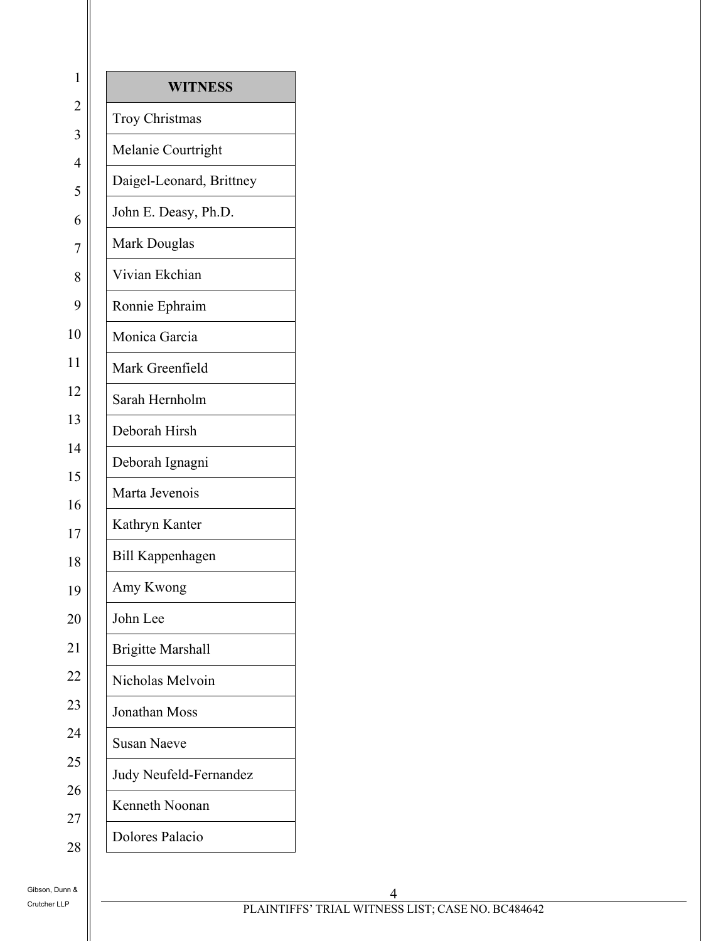| 1                                | <b>WITNESS</b>                |  |  |  |  |
|----------------------------------|-------------------------------|--|--|--|--|
| $\overline{c}$                   | <b>Troy Christmas</b>         |  |  |  |  |
| $\overline{3}$<br>$\overline{4}$ | Melanie Courtright            |  |  |  |  |
| 5                                | Daigel-Leonard, Brittney      |  |  |  |  |
| 6                                | John E. Deasy, Ph.D.          |  |  |  |  |
| $\overline{7}$                   | Mark Douglas                  |  |  |  |  |
| 8                                | Vivian Ekchian                |  |  |  |  |
| 9                                | Ronnie Ephraim                |  |  |  |  |
| 10                               | Monica Garcia                 |  |  |  |  |
| 11                               | Mark Greenfield               |  |  |  |  |
| 12                               | Sarah Hernholm                |  |  |  |  |
| 13                               | Deborah Hirsh                 |  |  |  |  |
| 14                               | Deborah Ignagni               |  |  |  |  |
| 15                               | Marta Jevenois                |  |  |  |  |
| 16                               | Kathryn Kanter                |  |  |  |  |
| 17                               | <b>Bill Kappenhagen</b>       |  |  |  |  |
| 18<br>19                         | Amy Kwong                     |  |  |  |  |
| 20                               | John Lee                      |  |  |  |  |
| 21                               | <b>Brigitte Marshall</b>      |  |  |  |  |
| 22                               | Nicholas Melvoin              |  |  |  |  |
| 23                               | Jonathan Moss                 |  |  |  |  |
| 24                               |                               |  |  |  |  |
| 25                               | <b>Susan Naeve</b>            |  |  |  |  |
| 26                               | <b>Judy Neufeld-Fernandez</b> |  |  |  |  |
| 27                               | Kenneth Noonan                |  |  |  |  |
| 28                               | Dolores Palacio               |  |  |  |  |

28

Gibson, Dunn & Crutcher LLP